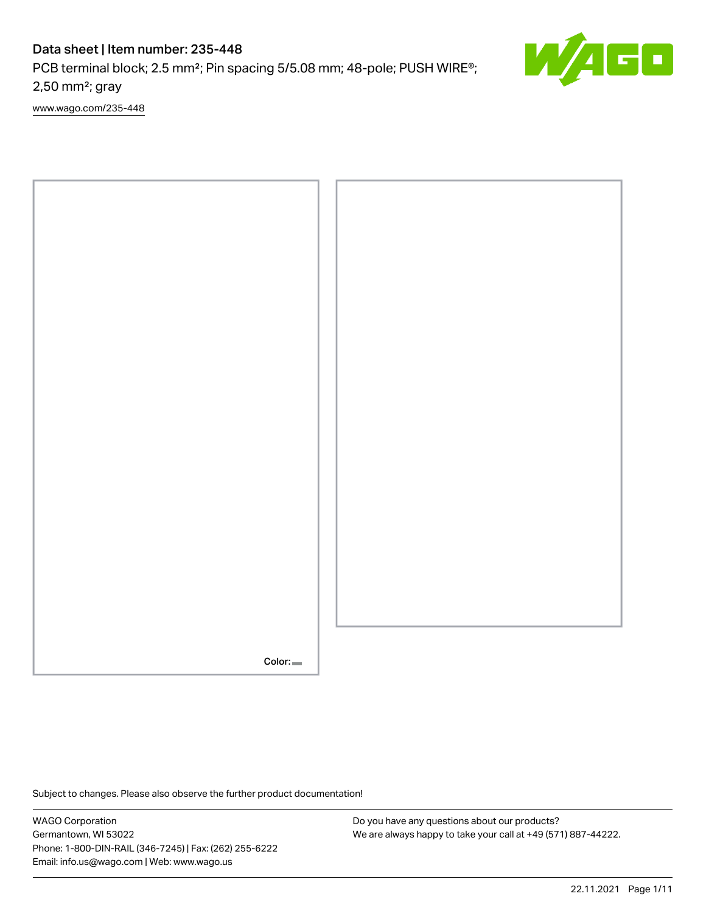# Data sheet | Item number: 235-448

PCB terminal block; 2.5 mm<sup>2</sup>; Pin spacing 5/5.08 mm; 48-pole; PUSH WIRE<sup>®</sup>; 2,50 mm²; gray

[www.wago.com/235-448](http://www.wago.com/235-448)



Subject to changes. Please also observe the further product documentation!

WAGO Corporation Germantown, WI 53022 Phone: 1-800-DIN-RAIL (346-7245) | Fax: (262) 255-6222 Email: info.us@wago.com | Web: www.wago.us

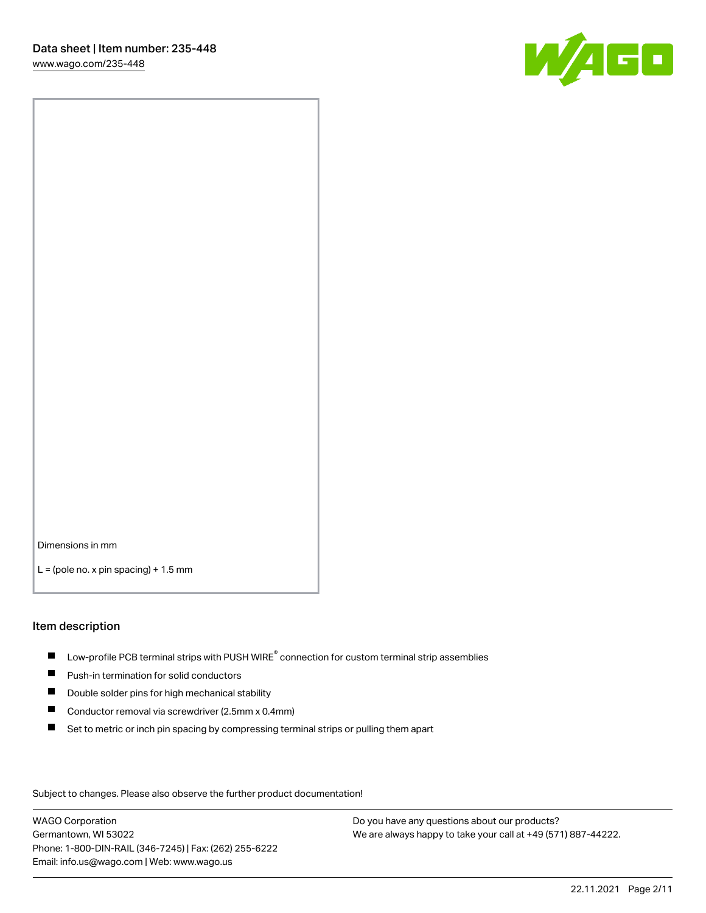

Dimensions in mm

 $L =$  (pole no. x pin spacing) + 1.5 mm

## Item description

- $\blacksquare$  Low-profile PCB terminal strips with PUSH WIRE<sup>®</sup> connection for custom terminal strip assemblies
- **Push-in termination for solid conductors**
- $\blacksquare$ Double solder pins for high mechanical stability
- $\blacksquare$ Conductor removal via screwdriver (2.5mm x 0.4mm)
- $\blacksquare$ Set to metric or inch pin spacing by compressing terminal strips or pulling them apart

Subject to changes. Please also observe the further product documentation!

WAGO Corporation Germantown, WI 53022 Phone: 1-800-DIN-RAIL (346-7245) | Fax: (262) 255-6222 Email: info.us@wago.com | Web: www.wago.us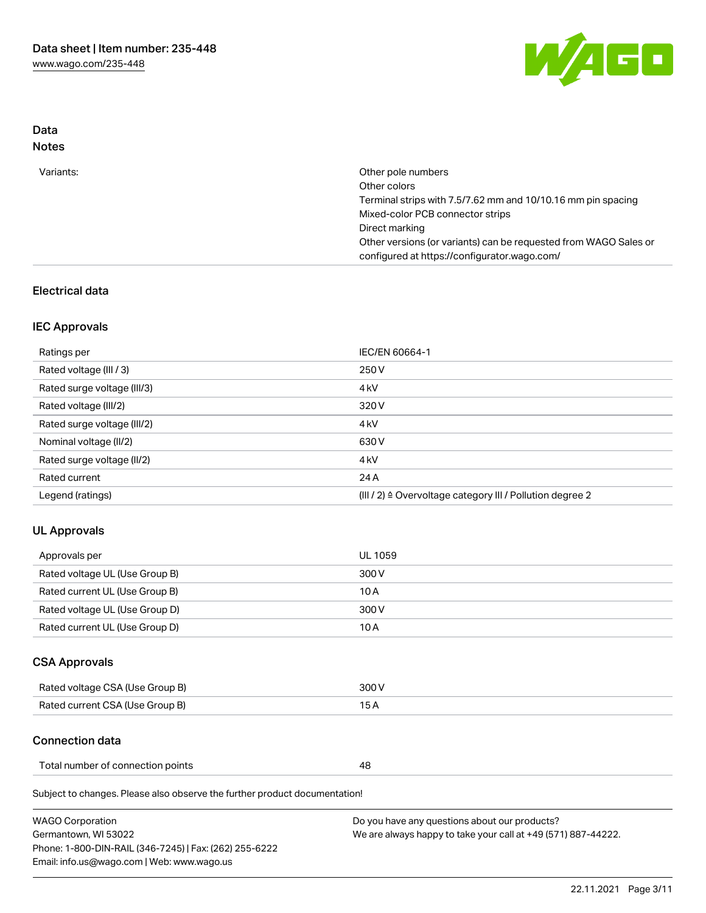

# Data Notes

| Variants: | Other pole numbers                                                                                               |
|-----------|------------------------------------------------------------------------------------------------------------------|
|           | Other colors                                                                                                     |
|           | Terminal strips with 7.5/7.62 mm and 10/10.16 mm pin spacing                                                     |
|           | Mixed-color PCB connector strips                                                                                 |
|           | Direct marking                                                                                                   |
|           | Other versions (or variants) can be requested from WAGO Sales or<br>configured at https://configurator.wago.com/ |
|           |                                                                                                                  |

# Electrical data

## IEC Approvals

| Ratings per                 | IEC/EN 60664-1                                                        |
|-----------------------------|-----------------------------------------------------------------------|
| Rated voltage (III / 3)     | 250 V                                                                 |
| Rated surge voltage (III/3) | 4 <sub>k</sub> V                                                      |
| Rated voltage (III/2)       | 320 V                                                                 |
| Rated surge voltage (III/2) | 4 <sub>k</sub> V                                                      |
| Nominal voltage (II/2)      | 630 V                                                                 |
| Rated surge voltage (II/2)  | 4 <sub>k</sub> V                                                      |
| Rated current               | 24 A                                                                  |
| Legend (ratings)            | $(III / 2)$ $\triangle$ Overvoltage category III / Pollution degree 2 |

# UL Approvals

| Approvals per                  | UL 1059 |
|--------------------------------|---------|
| Rated voltage UL (Use Group B) | 300 V   |
| Rated current UL (Use Group B) | 10 A    |
| Rated voltage UL (Use Group D) | 300 V   |
| Rated current UL (Use Group D) | 10 A    |

# CSA Approvals

| Rated voltage CSA (Use Group B) | 300 V |
|---------------------------------|-------|
| Rated current CSA (Use Group B) | 15 A  |

## Connection data

Total number of connection points **48** 

Subject to changes. Please also observe the further product documentation!

| <b>WAGO Corporation</b>                                |
|--------------------------------------------------------|
| Germantown, WI 53022                                   |
| Phone: 1-800-DIN-RAIL (346-7245)   Fax: (262) 255-6222 |
| Email: info.us@wago.com   Web: www.wago.us             |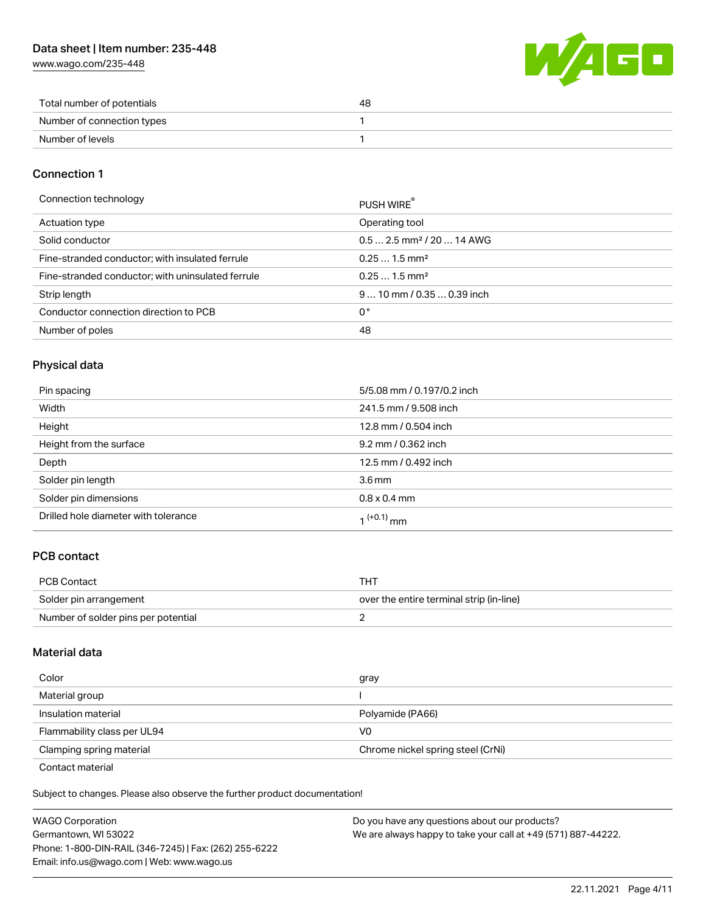# Data sheet | Item number: 235-448

[www.wago.com/235-448](http://www.wago.com/235-448)



| Total number of potentials | 48 |
|----------------------------|----|
| Number of connection types |    |
| Number of levels           |    |

## Connection 1

| Connection technology |
|-----------------------|
|-----------------------|

| Connection technology                             | PUSH WIRE                              |
|---------------------------------------------------|----------------------------------------|
| Actuation type                                    | Operating tool                         |
| Solid conductor                                   | $0.5$ 2.5 mm <sup>2</sup> / 20  14 AWG |
| Fine-stranded conductor; with insulated ferrule   | $0.251.5$ mm <sup>2</sup>              |
| Fine-stranded conductor; with uninsulated ferrule | $0.251.5$ mm <sup>2</sup>              |
| Strip length                                      | $910$ mm / 0.35  0.39 inch             |
| Conductor connection direction to PCB             | 0°                                     |
| Number of poles                                   | 48                                     |

# Physical data

| Pin spacing                          | 5/5.08 mm / 0.197/0.2 inch |
|--------------------------------------|----------------------------|
| Width                                | 241.5 mm / 9.508 inch      |
| Height                               | 12.8 mm / 0.504 inch       |
| Height from the surface              | 9.2 mm / 0.362 inch        |
| Depth                                | 12.5 mm / 0.492 inch       |
| Solder pin length                    | 3.6 <sub>mm</sub>          |
| Solder pin dimensions                | $0.8 \times 0.4$ mm        |
| Drilled hole diameter with tolerance | $(1+0.1)$ mm               |

# PCB contact

| <b>PCB Contact</b>                  | тнт                                      |
|-------------------------------------|------------------------------------------|
| Solder pin arrangement              | over the entire terminal strip (in-line) |
| Number of solder pins per potential |                                          |

## Material data

| Color                                            | gray                              |
|--------------------------------------------------|-----------------------------------|
| Material group                                   |                                   |
| Insulation material                              | Polyamide (PA66)                  |
| Flammability class per UL94                      | V0                                |
| Clamping spring material                         | Chrome nickel spring steel (CrNi) |
| $\sim$ $\sim$ $\sim$ $\sim$ $\sim$ $\sim$ $\sim$ |                                   |

Contact material

Subject to changes. Please also observe the further product documentation!  $\mathbf{E}$ 

| <b>WAGO Corporation</b>                                | Do you have any questions about our products?                 |
|--------------------------------------------------------|---------------------------------------------------------------|
| Germantown, WI 53022                                   | We are always happy to take your call at +49 (571) 887-44222. |
| Phone: 1-800-DIN-RAIL (346-7245)   Fax: (262) 255-6222 |                                                               |
| Email: info.us@wago.com   Web: www.wago.us             |                                                               |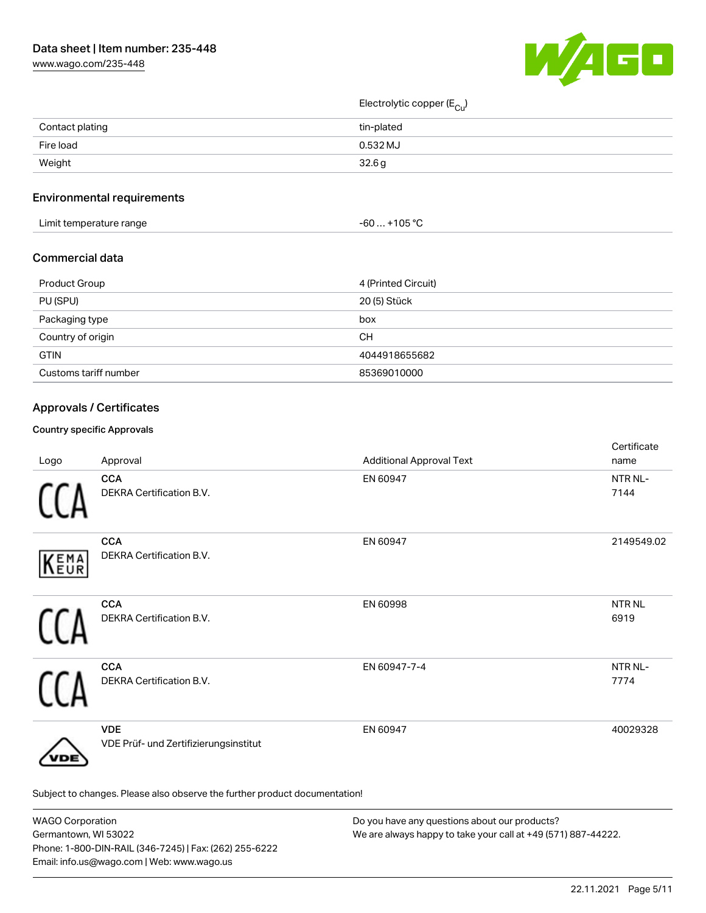

Electrolytic copper (E<sub>Cu</sub>)

| Contact plating | tin-plated |
|-----------------|------------|
| Fire load       | 0.532 MJ   |
| Weight          | 32.6 g     |
|                 |            |

# Environmental requirements

| Limit temperature range | $. +105 °C$<br>-60 |
|-------------------------|--------------------|
|-------------------------|--------------------|

## Commercial data

| Product Group         | 4 (Printed Circuit) |
|-----------------------|---------------------|
| PU (SPU)              | 20 (5) Stück        |
| Packaging type        | box                 |
| Country of origin     | CН                  |
| <b>GTIN</b>           | 4044918655682       |
| Customs tariff number | 85369010000         |

# Approvals / Certificates

### Country specific Approvals

| Logo | Approval                                                                   | <b>Additional Approval Text</b> | Certificate<br>name         |
|------|----------------------------------------------------------------------------|---------------------------------|-----------------------------|
|      | <b>CCA</b><br>DEKRA Certification B.V.                                     | EN 60947                        | NTR NL-<br>7144             |
| KEMA | <b>CCA</b><br>DEKRA Certification B.V.                                     | EN 60947                        | 2149549.02                  |
|      | <b>CCA</b><br>DEKRA Certification B.V.                                     | EN 60998                        | NTR <sub>NL</sub><br>6919   |
|      | <b>CCA</b><br>DEKRA Certification B.V.                                     | EN 60947-7-4                    | NTR <sub>NL</sub> -<br>7774 |
| 'DЕ  | <b>VDE</b><br>VDE Prüf- und Zertifizierungsinstitut                        | EN 60947                        | 40029328                    |
|      | Subject to changes. Please also observe the further product documentation! |                                 |                             |

| <b>WAGO Corporation</b>                                | Do you have any questions about our products?                 |
|--------------------------------------------------------|---------------------------------------------------------------|
| Germantown, WI 53022                                   | We are always happy to take your call at +49 (571) 887-44222. |
| Phone: 1-800-DIN-RAIL (346-7245)   Fax: (262) 255-6222 |                                                               |
| Email: info.us@wago.com   Web: www.wago.us             |                                                               |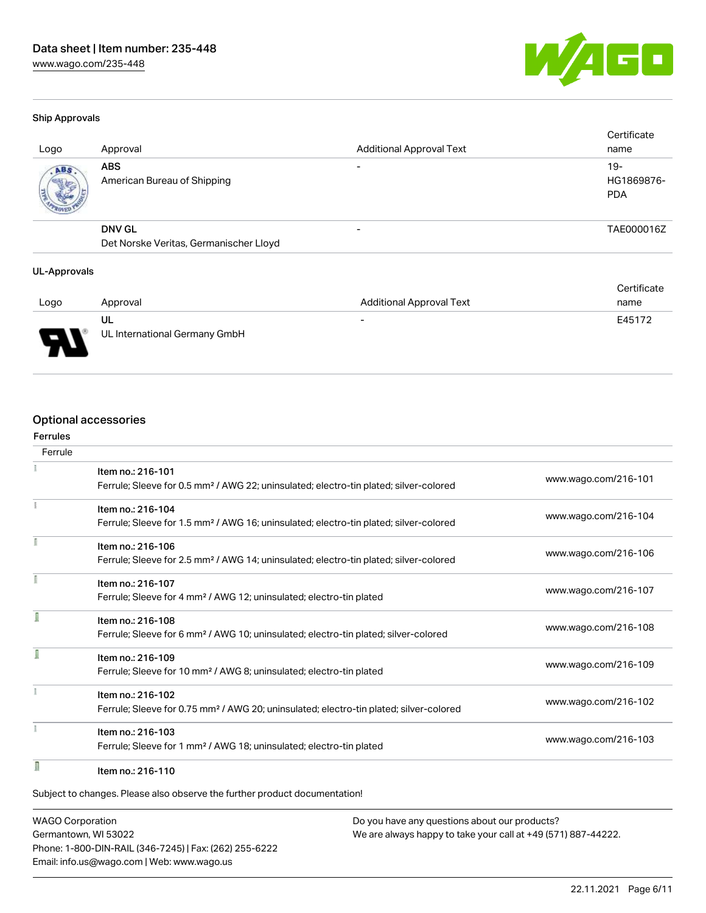

#### Ship Approvals

| Logo | Approval                                                | <b>Additional Approval Text</b> | Certificate<br>name                |
|------|---------------------------------------------------------|---------------------------------|------------------------------------|
| ABS. | <b>ABS</b><br>American Bureau of Shipping               |                                 | $19 -$<br>HG1869876-<br><b>PDA</b> |
|      | <b>DNV GL</b><br>Det Norske Veritas, Germanischer Lloyd |                                 | TAE000016Z                         |

### UL-Approvals

|      |                               |                                 | Certificate |
|------|-------------------------------|---------------------------------|-------------|
| Logo | Approval                      | <b>Additional Approval Text</b> | name        |
|      | UL                            | $\overline{\phantom{0}}$        | E45172      |
| J    | UL International Germany GmbH |                                 |             |

## Optional accessories

# Ferrules Ferrule ¥ Item no.: 216-101 Ferrule; Sleeve for 0.5 mm² / AWG 22; uninsulated; electro-tin plated; silver-colored [www.wago.com/216-101](http://www.wago.com/216-101) Item no.: 216-104 Ferrule; Sleeve for 1.5 mm² / AWG 16; uninsulated; electro-tin plated; silver-colored [www.wago.com/216-104](http://www.wago.com/216-104) Item no.: 216-106 Ferrule; Sleeve for 2.5 mm² / AWG 14; uninsulated; electro-tin plated; silver-colored [www.wago.com/216-106](http://www.wago.com/216-106) Item no.: 216-107 Ferrule; Sleeve for 4 mm² / AWG 12; uninsulated; electro-tin plated [www.wago.com/216-107](http://www.wago.com/216-107) Item no.: 216-108 Ferrule; Sleeve for 6 mm² / AWG 10; uninsulated; electro-tin plated; silver-colored [www.wago.com/216-108](http://www.wago.com/216-108) Item no.: 216-109 Ferrule; Sleeve for 10 mm² / AWG 8; uninsulated; electro-tin plated [www.wago.com/216-109](http://www.wago.com/216-109) Item no.: 216-102 Ferrule; Sleeve for 0.75 mm² / AWG 20; uninsulated; electro-tin plated; silver-colored [www.wago.com/216-102](http://www.wago.com/216-102) Item no.: 216-103 Ferrule; Sleeve for 1 mm² / AWG 18; uninsulated; electro-tin plated [www.wago.com/216-103](http://www.wago.com/216-103) n Item no.: 216-110 Subject to changes. Please also observe the further product documentation!

WAGO Corporation Germantown, WI 53022 Phone: 1-800-DIN-RAIL (346-7245) | Fax: (262) 255-6222 Email: info.us@wago.com | Web: www.wago.us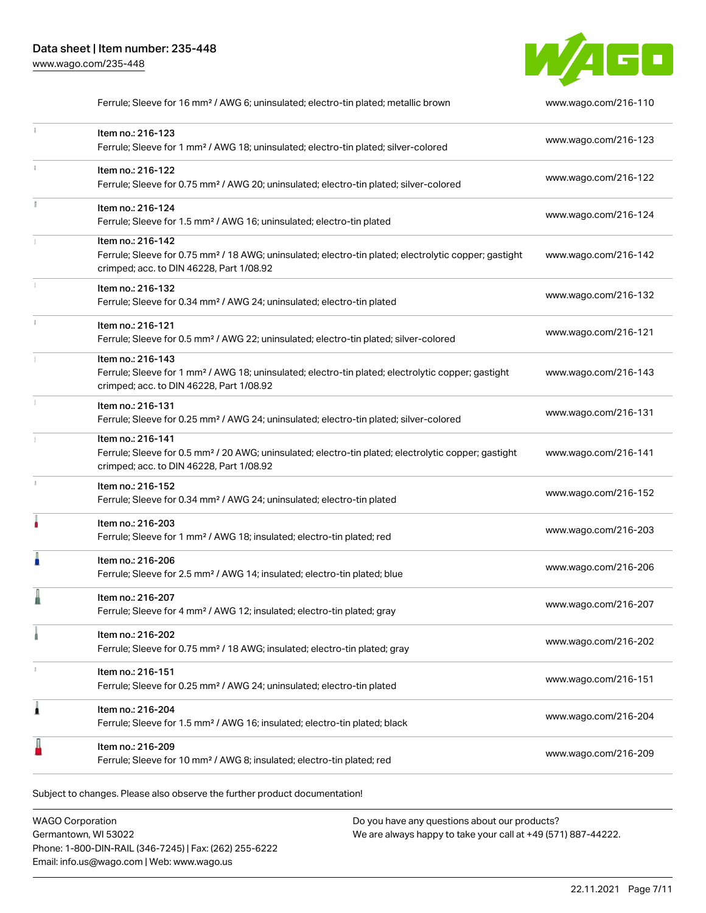

|   | Ferrule; Sleeve for 16 mm <sup>2</sup> / AWG 6; uninsulated; electro-tin plated; metallic brown                                                                                    | www.wago.com/216-110 |
|---|------------------------------------------------------------------------------------------------------------------------------------------------------------------------------------|----------------------|
|   | Item no.: 216-123<br>Ferrule; Sleeve for 1 mm <sup>2</sup> / AWG 18; uninsulated; electro-tin plated; silver-colored                                                               | www.wago.com/216-123 |
|   | Item no.: 216-122<br>Ferrule; Sleeve for 0.75 mm <sup>2</sup> / AWG 20; uninsulated; electro-tin plated; silver-colored                                                            | www.wago.com/216-122 |
|   | Item no.: 216-124<br>Ferrule; Sleeve for 1.5 mm <sup>2</sup> / AWG 16; uninsulated; electro-tin plated                                                                             | www.wago.com/216-124 |
|   | Item no.: 216-142<br>Ferrule; Sleeve for 0.75 mm <sup>2</sup> / 18 AWG; uninsulated; electro-tin plated; electrolytic copper; gastight<br>crimped; acc. to DIN 46228, Part 1/08.92 | www.wago.com/216-142 |
|   | Item no.: 216-132<br>Ferrule; Sleeve for 0.34 mm <sup>2</sup> / AWG 24; uninsulated; electro-tin plated                                                                            | www.wago.com/216-132 |
|   | Item no.: 216-121<br>Ferrule; Sleeve for 0.5 mm <sup>2</sup> / AWG 22; uninsulated; electro-tin plated; silver-colored                                                             | www.wago.com/216-121 |
|   | Item no.: 216-143<br>Ferrule; Sleeve for 1 mm <sup>2</sup> / AWG 18; uninsulated; electro-tin plated; electrolytic copper; gastight<br>crimped; acc. to DIN 46228, Part 1/08.92    | www.wago.com/216-143 |
|   | Item no.: 216-131<br>Ferrule; Sleeve for 0.25 mm <sup>2</sup> / AWG 24; uninsulated; electro-tin plated; silver-colored                                                            | www.wago.com/216-131 |
|   | Item no.: 216-141<br>Ferrule; Sleeve for 0.5 mm <sup>2</sup> / 20 AWG; uninsulated; electro-tin plated; electrolytic copper; gastight<br>crimped; acc. to DIN 46228, Part 1/08.92  | www.wago.com/216-141 |
|   | Item no.: 216-152<br>Ferrule; Sleeve for 0.34 mm <sup>2</sup> / AWG 24; uninsulated; electro-tin plated                                                                            | www.wago.com/216-152 |
|   | Item no.: 216-203<br>Ferrule; Sleeve for 1 mm <sup>2</sup> / AWG 18; insulated; electro-tin plated; red                                                                            | www.wago.com/216-203 |
|   | Item no.: 216-206<br>Ferrule; Sleeve for 2.5 mm <sup>2</sup> / AWG 14; insulated; electro-tin plated; blue                                                                         | www.wago.com/216-206 |
|   | Item no.: 216-207<br>Ferrule; Sleeve for 4 mm <sup>2</sup> / AWG 12; insulated; electro-tin plated; gray                                                                           | www.wago.com/216-207 |
|   | Item no.: 216-202<br>Ferrule; Sleeve for 0.75 mm <sup>2</sup> / 18 AWG; insulated; electro-tin plated; gray                                                                        | www.wago.com/216-202 |
|   | Item no.: 216-151<br>Ferrule; Sleeve for 0.25 mm <sup>2</sup> / AWG 24; uninsulated; electro-tin plated                                                                            | www.wago.com/216-151 |
| ۸ | Item no.: 216-204<br>Ferrule; Sleeve for 1.5 mm <sup>2</sup> / AWG 16; insulated; electro-tin plated; black                                                                        | www.wago.com/216-204 |
|   | Item no.: 216-209<br>Ferrule; Sleeve for 10 mm <sup>2</sup> / AWG 8; insulated; electro-tin plated; red                                                                            | www.wago.com/216-209 |
|   |                                                                                                                                                                                    |                      |

Subject to changes. Please also observe the further product documentation!

WAGO Corporation Germantown, WI 53022 Phone: 1-800-DIN-RAIL (346-7245) | Fax: (262) 255-6222 Email: info.us@wago.com | Web: www.wago.us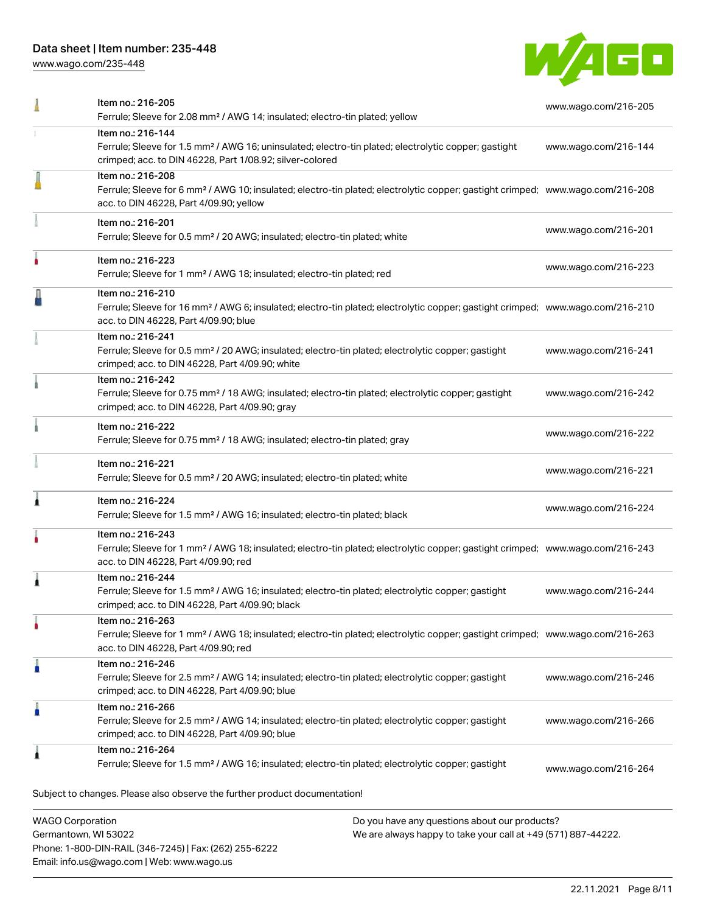# Data sheet | Item number: 235-448

Phone: 1-800-DIN-RAIL (346-7245) | Fax: (262) 255-6222

Email: info.us@wago.com | Web: www.wago.us

[www.wago.com/235-448](http://www.wago.com/235-448)



|                         | Item no.: 216-205<br>Ferrule; Sleeve for 2.08 mm <sup>2</sup> / AWG 14; insulated; electro-tin plated; yellow                                                                                              |                                                                                                                | www.wago.com/216-205 |
|-------------------------|------------------------------------------------------------------------------------------------------------------------------------------------------------------------------------------------------------|----------------------------------------------------------------------------------------------------------------|----------------------|
|                         | Item no.: 216-144<br>Ferrule; Sleeve for 1.5 mm <sup>2</sup> / AWG 16; uninsulated; electro-tin plated; electrolytic copper; gastight<br>crimped; acc. to DIN 46228, Part 1/08.92; silver-colored          |                                                                                                                | www.wago.com/216-144 |
|                         | Item no.: 216-208<br>Ferrule; Sleeve for 6 mm <sup>2</sup> / AWG 10; insulated; electro-tin plated; electrolytic copper; gastight crimped; www.wago.com/216-208<br>acc. to DIN 46228, Part 4/09.90; yellow |                                                                                                                |                      |
|                         | Item no.: 216-201<br>Ferrule; Sleeve for 0.5 mm <sup>2</sup> / 20 AWG; insulated; electro-tin plated; white                                                                                                |                                                                                                                | www.wago.com/216-201 |
|                         | Item no.: 216-223<br>Ferrule; Sleeve for 1 mm <sup>2</sup> / AWG 18; insulated; electro-tin plated; red                                                                                                    |                                                                                                                | www.wago.com/216-223 |
|                         | Item no.: 216-210<br>Ferrule; Sleeve for 16 mm <sup>2</sup> / AWG 6; insulated; electro-tin plated; electrolytic copper; gastight crimped; www.wago.com/216-210<br>acc. to DIN 46228, Part 4/09.90; blue   |                                                                                                                |                      |
|                         | Item no.: 216-241<br>Ferrule; Sleeve for 0.5 mm <sup>2</sup> / 20 AWG; insulated; electro-tin plated; electrolytic copper; gastight<br>crimped; acc. to DIN 46228, Part 4/09.90; white                     |                                                                                                                | www.wago.com/216-241 |
|                         | Item no.: 216-242<br>Ferrule; Sleeve for 0.75 mm <sup>2</sup> / 18 AWG; insulated; electro-tin plated; electrolytic copper; gastight<br>crimped; acc. to DIN 46228, Part 4/09.90; gray                     |                                                                                                                | www.wago.com/216-242 |
|                         | Item no.: 216-222<br>Ferrule; Sleeve for 0.75 mm <sup>2</sup> / 18 AWG; insulated; electro-tin plated; gray                                                                                                |                                                                                                                | www.wago.com/216-222 |
|                         | Item no.: 216-221<br>Ferrule; Sleeve for 0.5 mm <sup>2</sup> / 20 AWG; insulated; electro-tin plated; white                                                                                                |                                                                                                                | www.wago.com/216-221 |
| л                       | Item no.: 216-224<br>Ferrule; Sleeve for 1.5 mm <sup>2</sup> / AWG 16; insulated; electro-tin plated; black                                                                                                |                                                                                                                | www.wago.com/216-224 |
|                         | Item no.: 216-243<br>Ferrule; Sleeve for 1 mm <sup>2</sup> / AWG 18; insulated; electro-tin plated; electrolytic copper; gastight crimped; www.wago.com/216-243<br>acc. to DIN 46228, Part 4/09.90; red    |                                                                                                                |                      |
|                         | Item no.: 216-244<br>Ferrule; Sleeve for 1.5 mm <sup>2</sup> / AWG 16; insulated; electro-tin plated; electrolytic copper; gastight<br>crimped; acc. to DIN 46228, Part 4/09.90; black                     |                                                                                                                | www.wago.com/216-244 |
|                         | Item no.: 216-263<br>Ferrule; Sleeve for 1 mm <sup>2</sup> / AWG 18; insulated; electro-tin plated; electrolytic copper; gastight crimped; www.wago.com/216-263<br>acc. to DIN 46228, Part 4/09.90; red    |                                                                                                                |                      |
|                         | Item no.: 216-246<br>Ferrule; Sleeve for 2.5 mm <sup>2</sup> / AWG 14; insulated; electro-tin plated; electrolytic copper; gastight<br>crimped; acc. to DIN 46228, Part 4/09.90; blue                      |                                                                                                                | www.wago.com/216-246 |
|                         | Item no.: 216-266<br>Ferrule; Sleeve for 2.5 mm <sup>2</sup> / AWG 14; insulated; electro-tin plated; electrolytic copper; gastight<br>crimped; acc. to DIN 46228, Part 4/09.90; blue                      |                                                                                                                | www.wago.com/216-266 |
| 1                       | Item no.: 216-264<br>Ferrule; Sleeve for 1.5 mm <sup>2</sup> / AWG 16; insulated; electro-tin plated; electrolytic copper; gastight                                                                        |                                                                                                                | www.wago.com/216-264 |
|                         | Subject to changes. Please also observe the further product documentation!                                                                                                                                 |                                                                                                                |                      |
| <b>WAGO Corporation</b> | Germantown, WI 53022                                                                                                                                                                                       | Do you have any questions about our products?<br>We are always happy to take your call at +49 (571) 887-44222. |                      |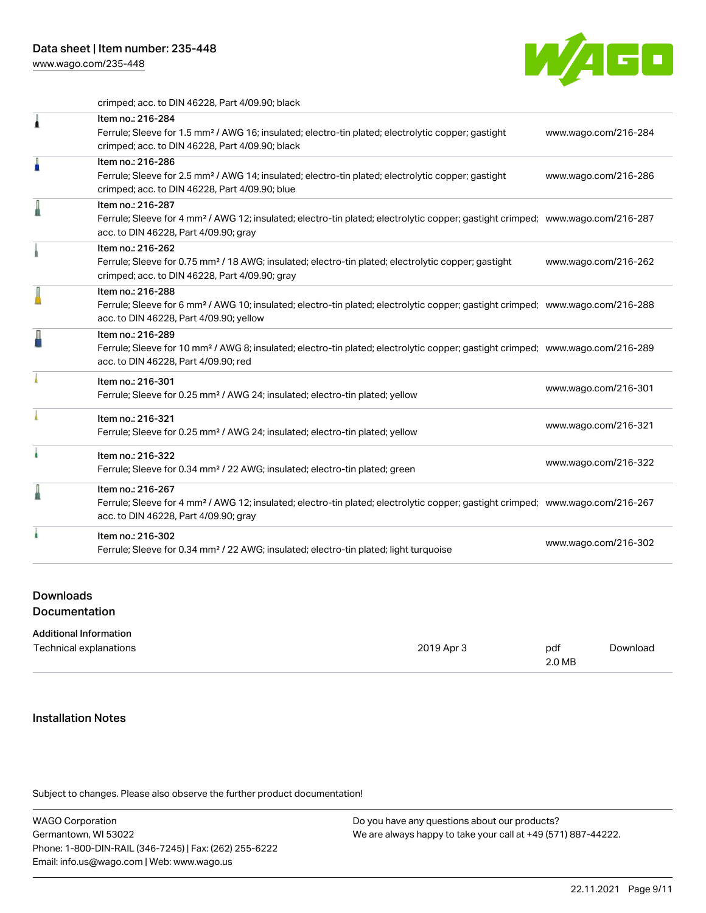

crimped; acc. to DIN 46228, Part 4/09.90; black

| 1 | Item no.: 216-284<br>Ferrule; Sleeve for 1.5 mm <sup>2</sup> / AWG 16; insulated; electro-tin plated; electrolytic copper; gastight<br>crimped; acc. to DIN 46228, Part 4/09.90; black                     | www.wago.com/216-284 |
|---|------------------------------------------------------------------------------------------------------------------------------------------------------------------------------------------------------------|----------------------|
| I | Item no.: 216-286<br>Ferrule; Sleeve for 2.5 mm <sup>2</sup> / AWG 14; insulated; electro-tin plated; electrolytic copper; gastight<br>crimped; acc. to DIN 46228, Part 4/09.90; blue                      | www.wago.com/216-286 |
| I | Item no.: 216-287<br>Ferrule; Sleeve for 4 mm <sup>2</sup> / AWG 12; insulated; electro-tin plated; electrolytic copper; gastight crimped; www.wago.com/216-287<br>acc. to DIN 46228, Part 4/09.90; gray   |                      |
|   | Item no.: 216-262<br>Ferrule; Sleeve for 0.75 mm <sup>2</sup> / 18 AWG; insulated; electro-tin plated; electrolytic copper; gastight<br>crimped; acc. to DIN 46228, Part 4/09.90; gray                     | www.wago.com/216-262 |
|   | Item no.: 216-288<br>Ferrule; Sleeve for 6 mm <sup>2</sup> / AWG 10; insulated; electro-tin plated; electrolytic copper; gastight crimped; www.wago.com/216-288<br>acc. to DIN 46228, Part 4/09.90; yellow |                      |
|   | Item no.: 216-289<br>Ferrule; Sleeve for 10 mm <sup>2</sup> / AWG 8; insulated; electro-tin plated; electrolytic copper; gastight crimped; www.wago.com/216-289<br>acc. to DIN 46228, Part 4/09.90; red    |                      |
|   | Item no.: 216-301<br>Ferrule; Sleeve for 0.25 mm <sup>2</sup> / AWG 24; insulated; electro-tin plated; yellow                                                                                              | www.wago.com/216-301 |
|   | Item no.: 216-321<br>Ferrule; Sleeve for 0.25 mm <sup>2</sup> / AWG 24; insulated; electro-tin plated; yellow                                                                                              | www.wago.com/216-321 |
|   | Item no.: 216-322<br>Ferrule; Sleeve for 0.34 mm <sup>2</sup> / 22 AWG; insulated; electro-tin plated; green                                                                                               | www.wago.com/216-322 |
|   | Item no.: 216-267<br>Ferrule; Sleeve for 4 mm <sup>2</sup> / AWG 12; insulated; electro-tin plated; electrolytic copper; gastight crimped; www.wago.com/216-267<br>acc. to DIN 46228, Part 4/09.90; gray   |                      |
|   | Item no.: 216-302<br>Ferrule; Sleeve for 0.34 mm <sup>2</sup> / 22 AWG; insulated; electro-tin plated; light turquoise                                                                                     | www.wago.com/216-302 |

### Downloads

**Documentation** 

#### Additional Information

| Technical explanations | 2019 Apr 3 | pdf<br>2.0 MB | Download |
|------------------------|------------|---------------|----------|
|                        |            |               |          |

### Installation Notes

Subject to changes. Please also observe the further product documentation!

WAGO Corporation Germantown, WI 53022 Phone: 1-800-DIN-RAIL (346-7245) | Fax: (262) 255-6222 Email: info.us@wago.com | Web: www.wago.us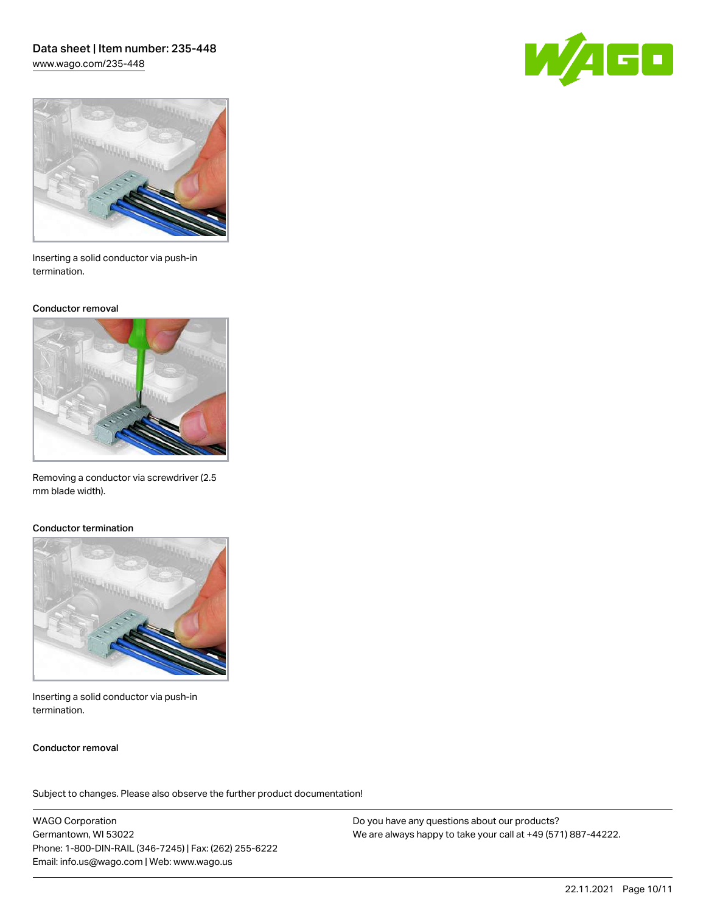# Data sheet | Item number: 235-448 [www.wago.com/235-448](http://www.wago.com/235-448)





Inserting a solid conductor via push-in termination.

#### Conductor removal



Removing a conductor via screwdriver (2.5 mm blade width).

### Conductor termination



Inserting a solid conductor via push-in termination.

## Conductor removal

Subject to changes. Please also observe the further product documentation!

WAGO Corporation Germantown, WI 53022 Phone: 1-800-DIN-RAIL (346-7245) | Fax: (262) 255-6222 Email: info.us@wago.com | Web: www.wago.us